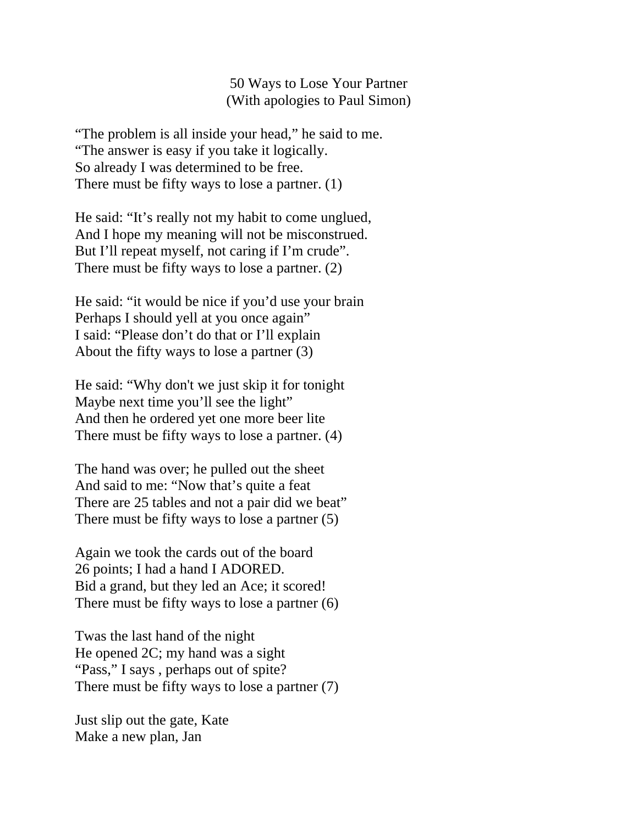50 Ways to Lose Your Partner (With apologies to Paul Simon)

"The problem is all inside your head," he said to me. "The answer is easy if you take it logically. So already I was determined to be free. There must be fifty ways to lose a partner. (1)

He said: "It's really not my habit to come unglued, And I hope my meaning will not be misconstrued. But I'll repeat myself, not caring if I'm crude". There must be fifty ways to lose a partner. (2)

He said: "it would be nice if you'd use your brain Perhaps I should yell at you once again" I said: "Please don't do that or I'll explain About the fifty ways to lose a partner (3)

He said: "Why don't we just skip it for tonight Maybe next time you'll see the light" And then he ordered yet one more beer lite There must be fifty ways to lose a partner. (4)

The hand was over; he pulled out the sheet And said to me: "Now that's quite a feat There are 25 tables and not a pair did we beat" There must be fifty ways to lose a partner (5)

Again we took the cards out of the board 26 points; I had a hand I ADORED. Bid a grand, but they led an Ace; it scored! There must be fifty ways to lose a partner (6)

Twas the last hand of the night He opened 2C; my hand was a sight "Pass," I says, perhaps out of spite?" There must be fifty ways to lose a partner (7)

Just slip out the gate, Kate Make a new plan, Jan